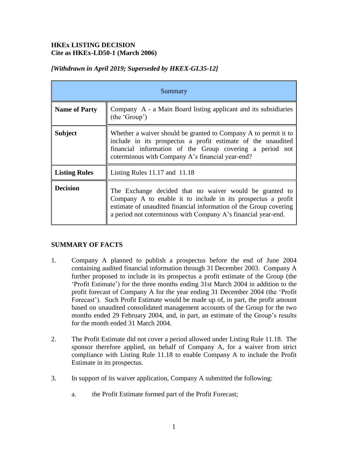# **HKEx LISTING DECISION Cite as HKEx-LD50-1 (March 2006)**

|  |  |  | [Withdrawn in April 2019; Superseded by HKEX-GL35-12] |
|--|--|--|-------------------------------------------------------|
|--|--|--|-------------------------------------------------------|

| Summary              |                                                                                                                                                                                                                                                               |  |
|----------------------|---------------------------------------------------------------------------------------------------------------------------------------------------------------------------------------------------------------------------------------------------------------|--|
| <b>Name of Party</b> | Company A - a Main Board listing applicant and its subsidiaries<br>(the 'Group')                                                                                                                                                                              |  |
| <b>Subject</b>       | Whether a waiver should be granted to Company A to permit it to<br>include in its prospectus a profit estimate of the unaudited<br>financial information of the Group covering a period not<br>coterminous with Company A's financial year-end?               |  |
| <b>Listing Rules</b> | Listing Rules $11.17$ and $11.18$                                                                                                                                                                                                                             |  |
| <b>Decision</b>      | The Exchange decided that no waiver would be granted to<br>Company A to enable it to include in its prospectus a profit<br>estimate of unaudited financial information of the Group covering<br>a period not coterminous with Company A's financial year-end. |  |

## **SUMMARY OF FACTS**

- 1. Company A planned to publish a prospectus before the end of June 2004 containing audited financial information through 31 December 2003. Company A further proposed to include in its prospectus a profit estimate of the Group (the 'Profit Estimate') for the three months ending 31st March 2004 in addition to the profit forecast of Company A for the year ending 31 December 2004 (the 'Profit Forecast'). Such Profit Estimate would be made up of, in part, the profit amount based on unaudited consolidated management accounts of the Group for the two months ended 29 February 2004, and, in part, an estimate of the Group's results for the month ended 31 March 2004.
- 2. The Profit Estimate did not cover a period allowed under Listing Rule 11.18. The sponsor therefore applied, on behalf of Company A, for a waiver from strict compliance with Listing Rule 11.18 to enable Company A to include the Profit Estimate in its prospectus.
- 3. In support of its waiver application, Company A submitted the following:
	- a. the Profit Estimate formed part of the Profit Forecast;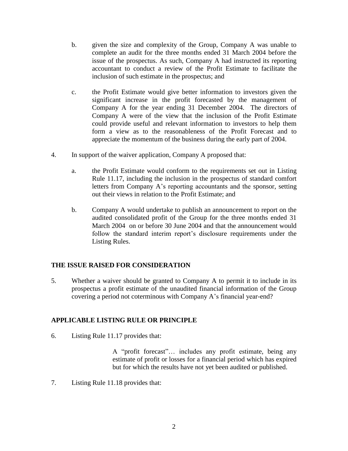- b. given the size and complexity of the Group, Company A was unable to complete an audit for the three months ended 31 March 2004 before the issue of the prospectus. As such, Company A had instructed its reporting accountant to conduct a review of the Profit Estimate to facilitate the inclusion of such estimate in the prospectus; and
- c. the Profit Estimate would give better information to investors given the significant increase in the profit forecasted by the management of Company A for the year ending 31 December 2004. The directors of Company A were of the view that the inclusion of the Profit Estimate could provide useful and relevant information to investors to help them form a view as to the reasonableness of the Profit Forecast and to appreciate the momentum of the business during the early part of 2004.
- 4. In support of the waiver application, Company A proposed that:
	- a. the Profit Estimate would conform to the requirements set out in Listing Rule 11.17, including the inclusion in the prospectus of standard comfort letters from Company A's reporting accountants and the sponsor, setting out their views in relation to the Profit Estimate; and
	- b. Company A would undertake to publish an announcement to report on the audited consolidated profit of the Group for the three months ended 31 March 2004 on or before 30 June 2004 and that the announcement would follow the standard interim report's disclosure requirements under the Listing Rules.

## **THE ISSUE RAISED FOR CONSIDERATION**

5. Whether a waiver should be granted to Company A to permit it to include in its prospectus a profit estimate of the unaudited financial information of the Group covering a period not coterminous with Company A's financial year-end?

## **APPLICABLE LISTING RULE OR PRINCIPLE**

6. Listing Rule 11.17 provides that:

A "profit forecast"… includes any profit estimate, being any estimate of profit or losses for a financial period which has expired but for which the results have not yet been audited or published.

7. Listing Rule 11.18 provides that: